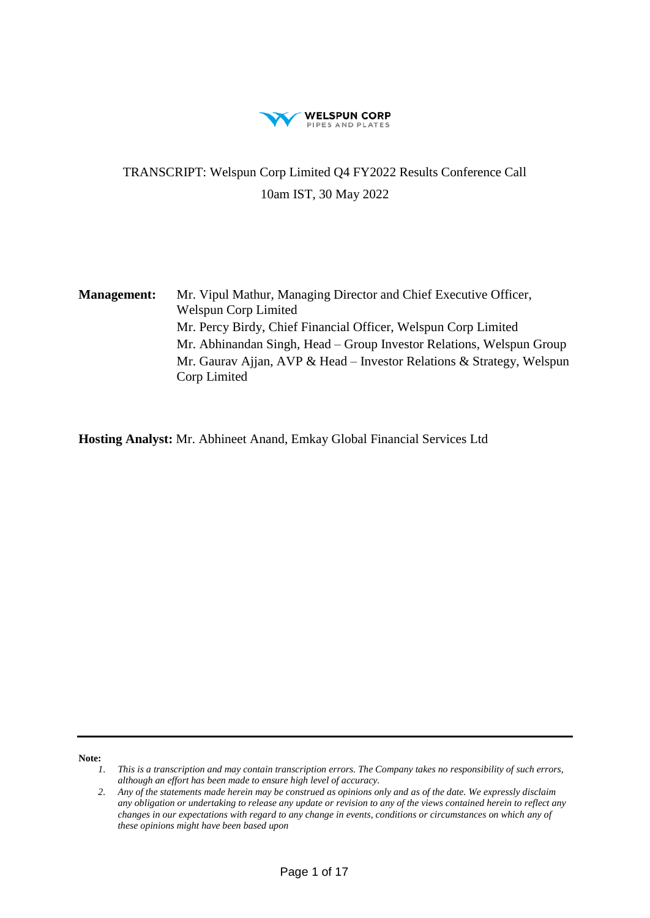

# TRANSCRIPT: Welspun Corp Limited Q4 FY2022 Results Conference Call 10am IST, 30 May 2022

**Management:** Mr. Vipul Mathur, Managing Director and Chief Executive Officer, Welspun Corp Limited Mr. Percy Birdy, Chief Financial Officer, Welspun Corp Limited Mr. Abhinandan Singh, Head – Group Investor Relations, Welspun Group Mr. Gaurav Ajjan, AVP & Head – Investor Relations & Strategy, Welspun Corp Limited

**Hosting Analyst:** Mr. Abhineet Anand, Emkay Global Financial Services Ltd

**Note:** 

*<sup>1.</sup> This is a transcription and may contain transcription errors. The Company takes no responsibility of such errors, although an effort has been made to ensure high level of accuracy.*

*<sup>2.</sup> Any of the statements made herein may be construed as opinions only and as of the date. We expressly disclaim any obligation or undertaking to release any update or revision to any of the views contained herein to reflect any changes in our expectations with regard to any change in events, conditions or circumstances on which any of these opinions might have been based upon*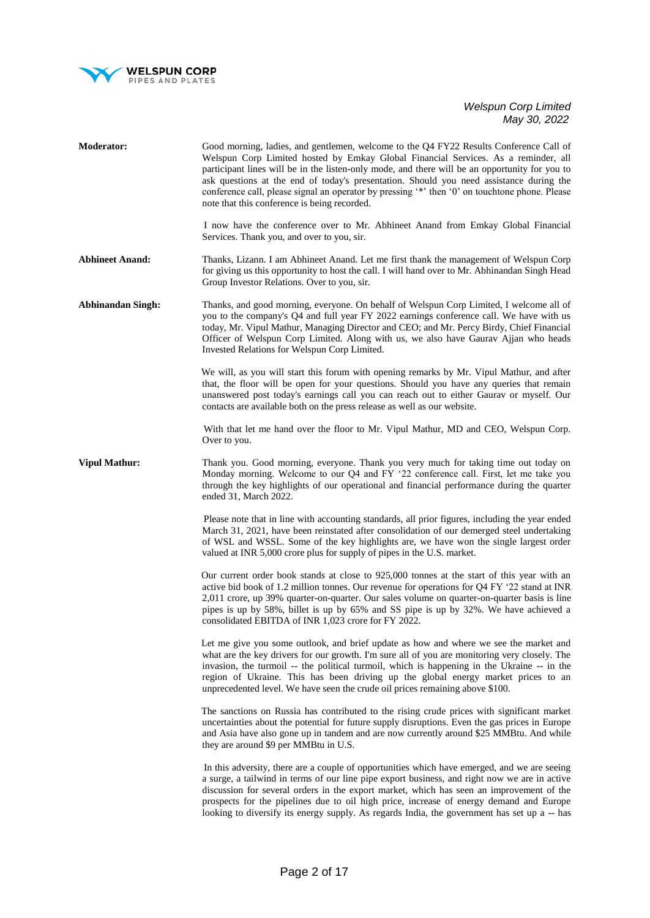

| <b>Moderator:</b>        | Good morning, ladies, and gentlemen, welcome to the Q4 FY22 Results Conference Call of<br>Welspun Corp Limited hosted by Emkay Global Financial Services. As a reminder, all<br>participant lines will be in the listen-only mode, and there will be an opportunity for you to<br>ask questions at the end of today's presentation. Should you need assistance during the<br>conference call, please signal an operator by pressing '*' then '0' on touchtone phone. Please<br>note that this conference is being recorded. |
|--------------------------|-----------------------------------------------------------------------------------------------------------------------------------------------------------------------------------------------------------------------------------------------------------------------------------------------------------------------------------------------------------------------------------------------------------------------------------------------------------------------------------------------------------------------------|
|                          | I now have the conference over to Mr. Abhineet Anand from Emkay Global Financial<br>Services. Thank you, and over to you, sir.                                                                                                                                                                                                                                                                                                                                                                                              |
| <b>Abhineet Anand:</b>   | Thanks, Lizann. I am Abhineet Anand. Let me first thank the management of Welspun Corp<br>for giving us this opportunity to host the call. I will hand over to Mr. Abhinandan Singh Head<br>Group Investor Relations. Over to you, sir.                                                                                                                                                                                                                                                                                     |
| <b>Abhinandan Singh:</b> | Thanks, and good morning, everyone. On behalf of Welspun Corp Limited, I welcome all of<br>you to the company's Q4 and full year FY 2022 earnings conference call. We have with us<br>today, Mr. Vipul Mathur, Managing Director and CEO; and Mr. Percy Birdy, Chief Financial<br>Officer of Welspun Corp Limited. Along with us, we also have Gaurav Ajjan who heads<br>Invested Relations for Welspun Corp Limited.                                                                                                       |
|                          | We will, as you will start this forum with opening remarks by Mr. Vipul Mathur, and after<br>that, the floor will be open for your questions. Should you have any queries that remain<br>unanswered post today's earnings call you can reach out to either Gaurav or myself. Our<br>contacts are available both on the press release as well as our website.                                                                                                                                                                |
|                          | With that let me hand over the floor to Mr. Vipul Mathur, MD and CEO, Welspun Corp.<br>Over to you.                                                                                                                                                                                                                                                                                                                                                                                                                         |
| <b>Vipul Mathur:</b>     | Thank you. Good morning, everyone. Thank you very much for taking time out today on<br>Monday morning. Welcome to our Q4 and FY '22 conference call. First, let me take you<br>through the key highlights of our operational and financial performance during the quarter<br>ended 31, March 2022.                                                                                                                                                                                                                          |
|                          | Please note that in line with accounting standards, all prior figures, including the year ended<br>March 31, 2021, have been reinstated after consolidation of our demerged steel undertaking<br>of WSL and WSSL. Some of the key highlights are, we have won the single largest order<br>valued at INR 5,000 crore plus for supply of pipes in the U.S. market.                                                                                                                                                            |
|                          | Our current order book stands at close to 925,000 tonnes at the start of this year with an<br>active bid book of 1.2 million tonnes. Our revenue for operations for Q4 FY '22 stand at INR<br>2,011 crore, up 39% quarter-on-quarter. Our sales volume on quarter-on-quarter basis is line<br>pipes is up by 58%, billet is up by 65% and SS pipe is up by 32%. We have achieved a<br>consolidated EBITDA of INR 1,023 crore for FY 2022.                                                                                   |
|                          | Let me give you some outlook, and brief update as how and where we see the market and<br>what are the key drivers for our growth. I'm sure all of you are monitoring very closely. The<br>invasion, the turmoil -- the political turmoil, which is happening in the Ukraine -- in the<br>region of Ukraine. This has been driving up the global energy market prices to an<br>unprecedented level. We have seen the crude oil prices remaining above \$100.                                                                 |
|                          | The sanctions on Russia has contributed to the rising crude prices with significant market<br>uncertainties about the potential for future supply disruptions. Even the gas prices in Europe<br>and Asia have also gone up in tandem and are now currently around \$25 MMBtu. And while<br>they are around \$9 per MMBtu in U.S.                                                                                                                                                                                            |
|                          | In this adversity, there are a couple of opportunities which have emerged, and we are seeing<br>a surge, a tailwind in terms of our line pipe export business, and right now we are in active<br>discussion for several orders in the export market, which has seen an improvement of the<br>prospects for the pipelines due to oil high price, increase of energy demand and Europe<br>looking to diversify its energy supply. As regards India, the government has set up a -- has                                        |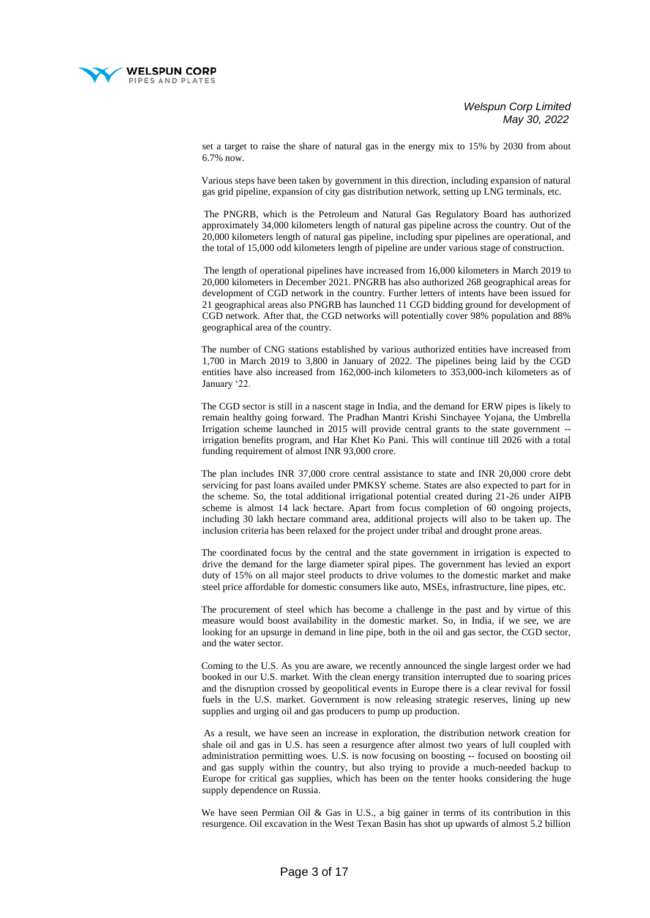

set a target to raise the share of natural gas in the energy mix to 15% by 2030 from about 6.7% now.

 Various steps have been taken by government in this direction, including expansion of natural gas grid pipeline, expansion of city gas distribution network, setting up LNG terminals, etc.

 The PNGRB, which is the Petroleum and Natural Gas Regulatory Board has authorized approximately 34,000 kilometers length of natural gas pipeline across the country. Out of the 20,000 kilometers length of natural gas pipeline, including spur pipelines are operational, and the total of 15,000 odd kilometers length of pipeline are under various stage of construction.

 The length of operational pipelines have increased from 16,000 kilometers in March 2019 to 20,000 kilometers in December 2021. PNGRB has also authorized 268 geographical areas for development of CGD network in the country. Further letters of intents have been issued for 21 geographical areas also PNGRB has launched 11 CGD bidding ground for development of CGD network. After that, the CGD networks will potentially cover 98% population and 88% geographical area of the country.

 The number of CNG stations established by various authorized entities have increased from 1,700 in March 2019 to 3,800 in January of 2022. The pipelines being laid by the CGD entities have also increased from 162,000-inch kilometers to 353,000-inch kilometers as of January '22.

 The CGD sector is still in a nascent stage in India, and the demand for ERW pipes is likely to remain healthy going forward. The Pradhan Mantri Krishi Sinchayee Yojana, the Umbrella Irrigation scheme launched in 2015 will provide central grants to the state government - irrigation benefits program, and Har Khet Ko Pani. This will continue till 2026 with a total funding requirement of almost INR 93,000 crore.

 The plan includes INR 37,000 crore central assistance to state and INR 20,000 crore debt servicing for past loans availed under PMKSY scheme. States are also expected to part for in the scheme. So, the total additional irrigational potential created during 21-26 under AIPB scheme is almost 14 lack hectare. Apart from focus completion of 60 ongoing projects, including 30 lakh hectare command area, additional projects will also to be taken up. The inclusion criteria has been relaxed for the project under tribal and drought prone areas.

 The coordinated focus by the central and the state government in irrigation is expected to drive the demand for the large diameter spiral pipes. The government has levied an export duty of 15% on all major steel products to drive volumes to the domestic market and make steel price affordable for domestic consumers like auto, MSEs, infrastructure, line pipes, etc.

 The procurement of steel which has become a challenge in the past and by virtue of this measure would boost availability in the domestic market. So, in India, if we see, we are looking for an upsurge in demand in line pipe, both in the oil and gas sector, the CGD sector, and the water sector.

 Coming to the U.S. As you are aware, we recently announced the single largest order we had booked in our U.S. market. With the clean energy transition interrupted due to soaring prices and the disruption crossed by geopolitical events in Europe there is a clear revival for fossil fuels in the U.S. market. Government is now releasing strategic reserves, lining up new supplies and urging oil and gas producers to pump up production.

 As a result, we have seen an increase in exploration, the distribution network creation for shale oil and gas in U.S. has seen a resurgence after almost two years of lull coupled with administration permitting woes. U.S. is now focusing on boosting -- focused on boosting oil and gas supply within the country, but also trying to provide a much-needed backup to Europe for critical gas supplies, which has been on the tenter hooks considering the huge supply dependence on Russia.

We have seen Permian Oil & Gas in U.S., a big gainer in terms of its contribution in this resurgence. Oil excavation in the West Texan Basin has shot up upwards of almost 5.2 billion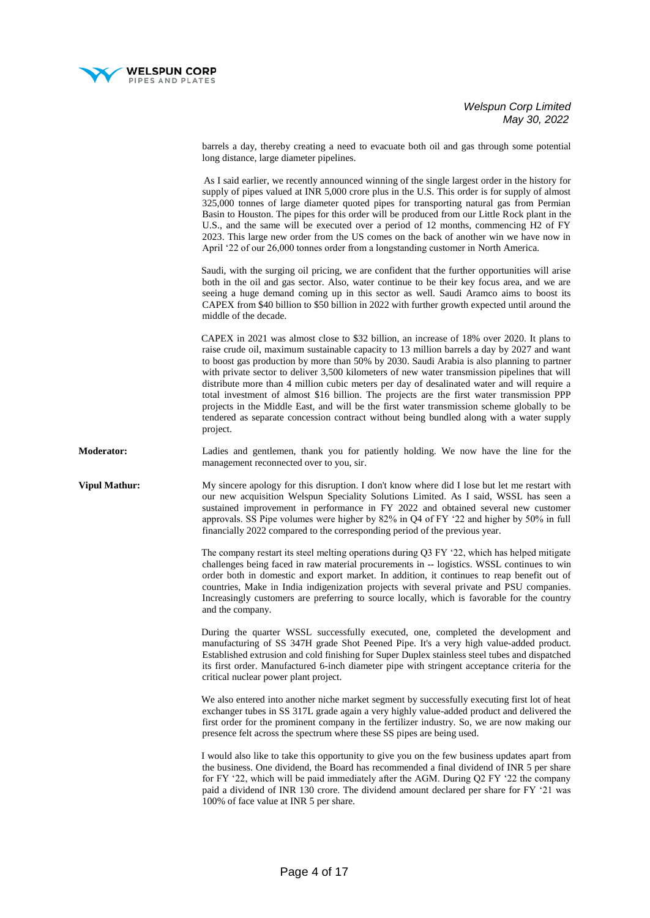

barrels a day, thereby creating a need to evacuate both oil and gas through some potential long distance, large diameter pipelines.

 As I said earlier, we recently announced winning of the single largest order in the history for supply of pipes valued at INR 5,000 crore plus in the U.S. This order is for supply of almost 325,000 tonnes of large diameter quoted pipes for transporting natural gas from Permian Basin to Houston. The pipes for this order will be produced from our Little Rock plant in the U.S., and the same will be executed over a period of 12 months, commencing H2 of FY 2023. This large new order from the US comes on the back of another win we have now in April '22 of our 26,000 tonnes order from a longstanding customer in North America.

 Saudi, with the surging oil pricing, we are confident that the further opportunities will arise both in the oil and gas sector. Also, water continue to be their key focus area, and we are seeing a huge demand coming up in this sector as well. Saudi Aramco aims to boost its CAPEX from \$40 billion to \$50 billion in 2022 with further growth expected until around the middle of the decade.

 CAPEX in 2021 was almost close to \$32 billion, an increase of 18% over 2020. It plans to raise crude oil, maximum sustainable capacity to 13 million barrels a day by 2027 and want to boost gas production by more than 50% by 2030. Saudi Arabia is also planning to partner with private sector to deliver 3,500 kilometers of new water transmission pipelines that will distribute more than 4 million cubic meters per day of desalinated water and will require a total investment of almost \$16 billion. The projects are the first water transmission PPP projects in the Middle East, and will be the first water transmission scheme globally to be tendered as separate concession contract without being bundled along with a water supply project.

**Moderator:** Ladies and gentlemen, thank you for patiently holding. We now have the line for the management reconnected over to you, sir.

**Vipul Mathur:** My sincere apology for this disruption. I don't know where did I lose but let me restart with our new acquisition Welspun Speciality Solutions Limited. As I said, WSSL has seen a sustained improvement in performance in FY 2022 and obtained several new customer approvals. SS Pipe volumes were higher by 82% in Q4 of FY '22 and higher by 50% in full financially 2022 compared to the corresponding period of the previous year.

> The company restart its steel melting operations during Q3 FY '22, which has helped mitigate challenges being faced in raw material procurements in -- logistics. WSSL continues to win order both in domestic and export market. In addition, it continues to reap benefit out of countries, Make in India indigenization projects with several private and PSU companies. Increasingly customers are preferring to source locally, which is favorable for the country and the company.

> During the quarter WSSL successfully executed, one, completed the development and manufacturing of SS 347H grade Shot Peened Pipe. It's a very high value-added product. Established extrusion and cold finishing for Super Duplex stainless steel tubes and dispatched its first order. Manufactured 6-inch diameter pipe with stringent acceptance criteria for the critical nuclear power plant project.

> We also entered into another niche market segment by successfully executing first lot of heat exchanger tubes in SS 317L grade again a very highly value-added product and delivered the first order for the prominent company in the fertilizer industry. So, we are now making our presence felt across the spectrum where these SS pipes are being used.

> I would also like to take this opportunity to give you on the few business updates apart from the business. One dividend, the Board has recommended a final dividend of INR 5 per share for FY '22, which will be paid immediately after the AGM. During Q2 FY '22 the company paid a dividend of INR 130 crore. The dividend amount declared per share for FY '21 was 100% of face value at INR 5 per share.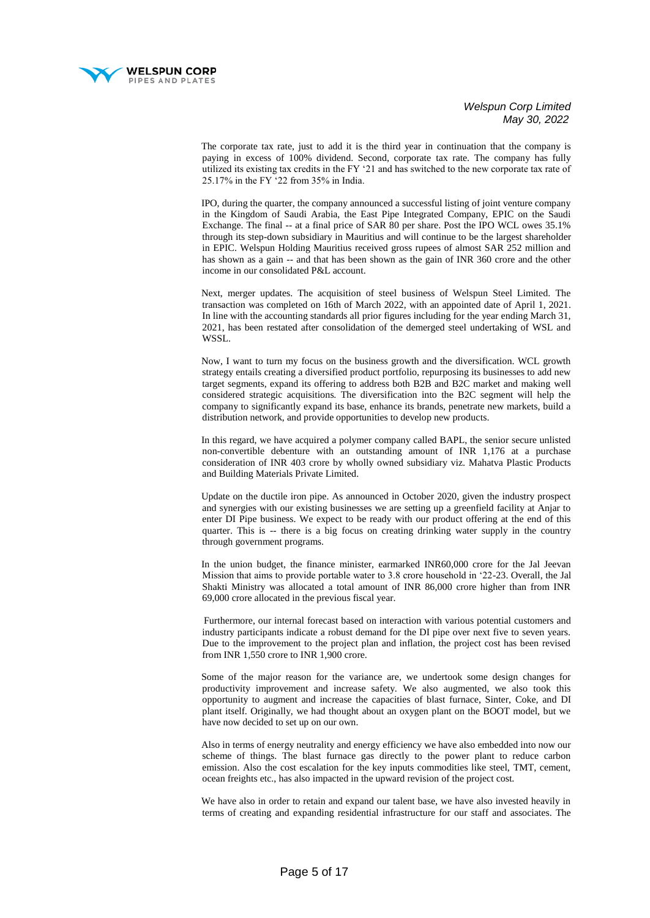

 The corporate tax rate, just to add it is the third year in continuation that the company is paying in excess of 100% dividend. Second, corporate tax rate. The company has fully utilized its existing tax credits in the FY '21 and has switched to the new corporate tax rate of 25.17% in the FY '22 from 35% in India.

 IPO, during the quarter, the company announced a successful listing of joint venture company in the Kingdom of Saudi Arabia, the East Pipe Integrated Company, EPIC on the Saudi Exchange. The final -- at a final price of SAR 80 per share. Post the IPO WCL owes 35.1% through its step-down subsidiary in Mauritius and will continue to be the largest shareholder in EPIC. Welspun Holding Mauritius received gross rupees of almost SAR 252 million and has shown as a gain -- and that has been shown as the gain of INR 360 crore and the other income in our consolidated P&L account.

 Next, merger updates. The acquisition of steel business of Welspun Steel Limited. The transaction was completed on 16th of March 2022, with an appointed date of April 1, 2021. In line with the accounting standards all prior figures including for the year ending March 31, 2021, has been restated after consolidation of the demerged steel undertaking of WSL and WSSL.

 Now, I want to turn my focus on the business growth and the diversification. WCL growth strategy entails creating a diversified product portfolio, repurposing its businesses to add new target segments, expand its offering to address both B2B and B2C market and making well considered strategic acquisitions. The diversification into the B2C segment will help the company to significantly expand its base, enhance its brands, penetrate new markets, build a distribution network, and provide opportunities to develop new products.

 In this regard, we have acquired a polymer company called BAPL, the senior secure unlisted non-convertible debenture with an outstanding amount of INR 1,176 at a purchase consideration of INR 403 crore by wholly owned subsidiary viz. Mahatva Plastic Products and Building Materials Private Limited.

 Update on the ductile iron pipe. As announced in October 2020, given the industry prospect and synergies with our existing businesses we are setting up a greenfield facility at Anjar to enter DI Pipe business. We expect to be ready with our product offering at the end of this quarter. This is -- there is a big focus on creating drinking water supply in the country through government programs.

 In the union budget, the finance minister, earmarked INR60,000 crore for the Jal Jeevan Mission that aims to provide portable water to 3.8 crore household in '22-23. Overall, the Jal Shakti Ministry was allocated a total amount of INR 86,000 crore higher than from INR 69,000 crore allocated in the previous fiscal year.

 Furthermore, our internal forecast based on interaction with various potential customers and industry participants indicate a robust demand for the DI pipe over next five to seven years. Due to the improvement to the project plan and inflation, the project cost has been revised from INR 1,550 crore to INR 1,900 crore.

 Some of the major reason for the variance are, we undertook some design changes for productivity improvement and increase safety. We also augmented, we also took this opportunity to augment and increase the capacities of blast furnace, Sinter, Coke, and DI plant itself. Originally, we had thought about an oxygen plant on the BOOT model, but we have now decided to set up on our own.

 Also in terms of energy neutrality and energy efficiency we have also embedded into now our scheme of things. The blast furnace gas directly to the power plant to reduce carbon emission. Also the cost escalation for the key inputs commodities like steel, TMT, cement, ocean freights etc., has also impacted in the upward revision of the project cost.

 We have also in order to retain and expand our talent base, we have also invested heavily in terms of creating and expanding residential infrastructure for our staff and associates. The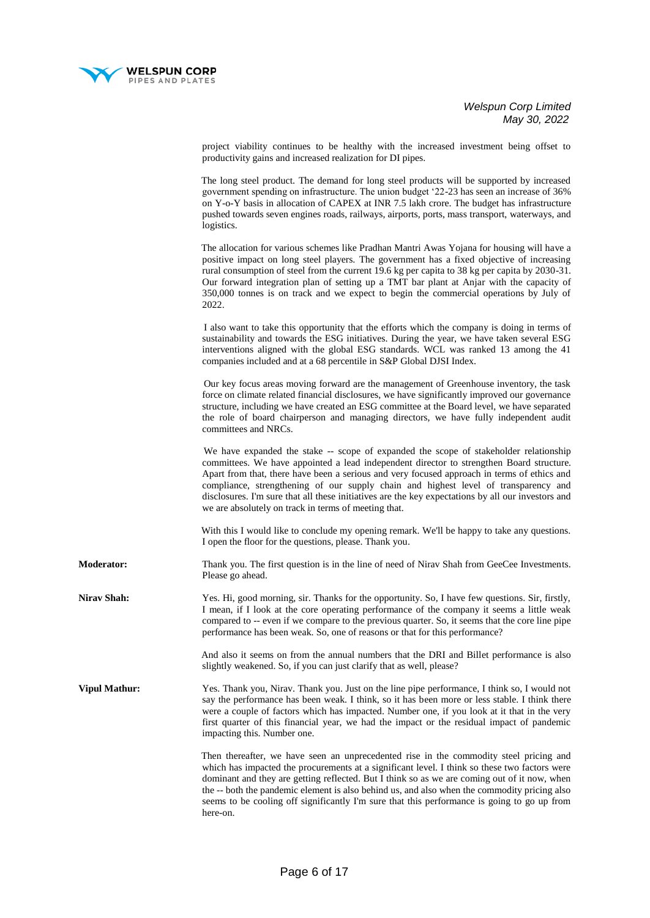

project viability continues to be healthy with the increased investment being offset to productivity gains and increased realization for DI pipes.

 The long steel product. The demand for long steel products will be supported by increased government spending on infrastructure. The union budget '22-23 has seen an increase of 36% on Y-o-Y basis in allocation of CAPEX at INR 7.5 lakh crore. The budget has infrastructure pushed towards seven engines roads, railways, airports, ports, mass transport, waterways, and logistics.

 The allocation for various schemes like Pradhan Mantri Awas Yojana for housing will have a positive impact on long steel players. The government has a fixed objective of increasing rural consumption of steel from the current 19.6 kg per capita to 38 kg per capita by 2030-31. Our forward integration plan of setting up a TMT bar plant at Anjar with the capacity of 350,000 tonnes is on track and we expect to begin the commercial operations by July of 2022.

 I also want to take this opportunity that the efforts which the company is doing in terms of sustainability and towards the ESG initiatives. During the year, we have taken several ESG interventions aligned with the global ESG standards. WCL was ranked 13 among the 41 companies included and at a 68 percentile in S&P Global DJSI Index.

 Our key focus areas moving forward are the management of Greenhouse inventory, the task force on climate related financial disclosures, we have significantly improved our governance structure, including we have created an ESG committee at the Board level, we have separated the role of board chairperson and managing directors, we have fully independent audit committees and NRCs.

We have expanded the stake -- scope of expanded the scope of stakeholder relationship committees. We have appointed a lead independent director to strengthen Board structure. Apart from that, there have been a serious and very focused approach in terms of ethics and compliance, strengthening of our supply chain and highest level of transparency and disclosures. I'm sure that all these initiatives are the key expectations by all our investors and we are absolutely on track in terms of meeting that.

 With this I would like to conclude my opening remark. We'll be happy to take any questions. I open the floor for the questions, please. Thank you.

**Moderator:** Thank you. The first question is in the line of need of Nirav Shah from GeeCee Investments. Please go ahead.

**Nirav Shah:** Yes. Hi, good morning, sir. Thanks for the opportunity. So, I have few questions. Sir, firstly, I mean, if I look at the core operating performance of the company it seems a little weak compared to -- even if we compare to the previous quarter. So, it seems that the core line pipe performance has been weak. So, one of reasons or that for this performance?

> And also it seems on from the annual numbers that the DRI and Billet performance is also slightly weakened. So, if you can just clarify that as well, please?

**Vipul Mathur:** *Yes. Thank you, Nirav. Thank you, Just on the line pipe performance, I think so, I would not* say the performance has been weak. I think, so it has been more or less stable. I think there were a couple of factors which has impacted. Number one, if you look at it that in the very first quarter of this financial year, we had the impact or the residual impact of pandemic impacting this. Number one.

> Then thereafter, we have seen an unprecedented rise in the commodity steel pricing and which has impacted the procurements at a significant level. I think so these two factors were dominant and they are getting reflected. But I think so as we are coming out of it now, when the -- both the pandemic element is also behind us, and also when the commodity pricing also seems to be cooling off significantly I'm sure that this performance is going to go up from here-on.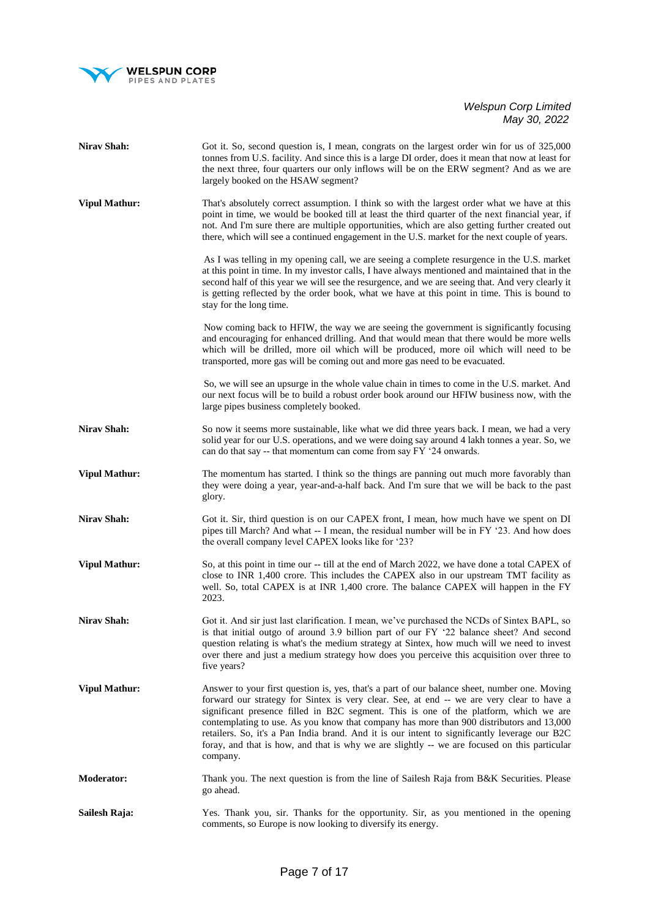

| <b>Nirav Shah:</b>   | Got it. So, second question is, I mean, congrats on the largest order win for us of 325,000<br>tonnes from U.S. facility. And since this is a large DI order, does it mean that now at least for<br>the next three, four quarters our only inflows will be on the ERW segment? And as we are<br>largely booked on the HSAW segment?                                                                                                                                                                                                                                                          |
|----------------------|----------------------------------------------------------------------------------------------------------------------------------------------------------------------------------------------------------------------------------------------------------------------------------------------------------------------------------------------------------------------------------------------------------------------------------------------------------------------------------------------------------------------------------------------------------------------------------------------|
| <b>Vipul Mathur:</b> | That's absolutely correct assumption. I think so with the largest order what we have at this<br>point in time, we would be booked till at least the third quarter of the next financial year, if<br>not. And I'm sure there are multiple opportunities, which are also getting further created out<br>there, which will see a continued engagement in the U.S. market for the next couple of years.                                                                                                                                                                                          |
|                      | As I was telling in my opening call, we are seeing a complete resurgence in the U.S. market<br>at this point in time. In my investor calls, I have always mentioned and maintained that in the<br>second half of this year we will see the resurgence, and we are seeing that. And very clearly it<br>is getting reflected by the order book, what we have at this point in time. This is bound to<br>stay for the long time.                                                                                                                                                                |
|                      | Now coming back to HFIW, the way we are seeing the government is significantly focusing<br>and encouraging for enhanced drilling. And that would mean that there would be more wells<br>which will be drilled, more oil which will be produced, more oil which will need to be<br>transported, more gas will be coming out and more gas need to be evacuated.                                                                                                                                                                                                                                |
|                      | So, we will see an upsurge in the whole value chain in times to come in the U.S. market. And<br>our next focus will be to build a robust order book around our HFIW business now, with the<br>large pipes business completely booked.                                                                                                                                                                                                                                                                                                                                                        |
| Nirav Shah:          | So now it seems more sustainable, like what we did three years back. I mean, we had a very<br>solid year for our U.S. operations, and we were doing say around 4 lakh tonnes a year. So, we<br>can do that say -- that momentum can come from say FY '24 onwards.                                                                                                                                                                                                                                                                                                                            |
| <b>Vipul Mathur:</b> | The momentum has started. I think so the things are panning out much more favorably than<br>they were doing a year, year-and-a-half back. And I'm sure that we will be back to the past<br>glory.                                                                                                                                                                                                                                                                                                                                                                                            |
| <b>Nirav Shah:</b>   | Got it. Sir, third question is on our CAPEX front, I mean, how much have we spent on DI<br>pipes till March? And what -- I mean, the residual number will be in FY '23. And how does<br>the overall company level CAPEX looks like for '23?                                                                                                                                                                                                                                                                                                                                                  |
| <b>Vipul Mathur:</b> | So, at this point in time our -- till at the end of March 2022, we have done a total CAPEX of<br>close to INR 1,400 crore. This includes the CAPEX also in our upstream TMT facility as<br>well. So, total CAPEX is at INR 1,400 crore. The balance CAPEX will happen in the FY<br>2023.                                                                                                                                                                                                                                                                                                     |
| Nirav Shah:          | Got it. And sir just last clarification. I mean, we've purchased the NCDs of Sintex BAPL, so<br>is that initial outgo of around 3.9 billion part of our FY '22 balance sheet? And second<br>question relating is what's the medium strategy at Sintex, how much will we need to invest<br>over there and just a medium strategy how does you perceive this acquisition over three to<br>five years?                                                                                                                                                                                          |
| <b>Vipul Mathur:</b> | Answer to your first question is, yes, that's a part of our balance sheet, number one. Moving<br>forward our strategy for Sintex is very clear. See, at end -- we are very clear to have a<br>significant presence filled in B2C segment. This is one of the platform, which we are<br>contemplating to use. As you know that company has more than 900 distributors and 13,000<br>retailers. So, it's a Pan India brand. And it is our intent to significantly leverage our B2C<br>foray, and that is how, and that is why we are slightly -- we are focused on this particular<br>company. |
| <b>Moderator:</b>    | Thank you. The next question is from the line of Sailesh Raja from B&K Securities. Please<br>go ahead.                                                                                                                                                                                                                                                                                                                                                                                                                                                                                       |
| Sailesh Raja:        | Yes. Thank you, sir. Thanks for the opportunity. Sir, as you mentioned in the opening<br>comments, so Europe is now looking to diversify its energy.                                                                                                                                                                                                                                                                                                                                                                                                                                         |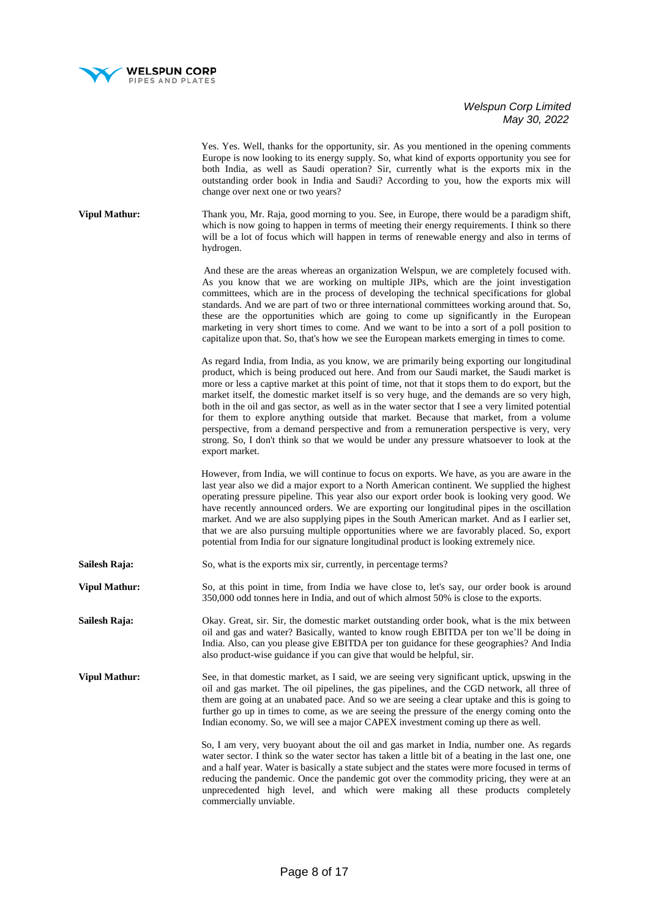

Yes. Yes. Well, thanks for the opportunity, sir. As you mentioned in the opening comments Europe is now looking to its energy supply. So, what kind of exports opportunity you see for both India, as well as Saudi operation? Sir, currently what is the exports mix in the outstanding order book in India and Saudi? According to you, how the exports mix will change over next one or two years?

**Vipul Mathur:** Thank you, Mr. Raja, good morning to you. See, in Europe, there would be a paradigm shift, which is now going to happen in terms of meeting their energy requirements. I think so there will be a lot of focus which will happen in terms of renewable energy and also in terms of hydrogen.

> And these are the areas whereas an organization Welspun, we are completely focused with. As you know that we are working on multiple JIPs, which are the joint investigation committees, which are in the process of developing the technical specifications for global standards. And we are part of two or three international committees working around that. So, these are the opportunities which are going to come up significantly in the European marketing in very short times to come. And we want to be into a sort of a poll position to capitalize upon that. So, that's how we see the European markets emerging in times to come.

> As regard India, from India, as you know, we are primarily being exporting our longitudinal product, which is being produced out here. And from our Saudi market, the Saudi market is more or less a captive market at this point of time, not that it stops them to do export, but the market itself, the domestic market itself is so very huge, and the demands are so very high, both in the oil and gas sector, as well as in the water sector that I see a very limited potential for them to explore anything outside that market. Because that market, from a volume perspective, from a demand perspective and from a remuneration perspective is very, very strong. So, I don't think so that we would be under any pressure whatsoever to look at the export market.

> However, from India, we will continue to focus on exports. We have, as you are aware in the last year also we did a major export to a North American continent. We supplied the highest operating pressure pipeline. This year also our export order book is looking very good. We have recently announced orders. We are exporting our longitudinal pipes in the oscillation market. And we are also supplying pipes in the South American market. And as I earlier set, that we are also pursuing multiple opportunities where we are favorably placed. So, export potential from India for our signature longitudinal product is looking extremely nice.

**Sailesh Raja:** So, what is the exports mix sir, currently, in percentage terms?

**Vipul Mathur:** So, at this point in time, from India we have close to, let's say, our order book is around 350,000 odd tonnes here in India, and out of which almost 50% is close to the exports.

**Sailesh Raja:** Okay. Great, sir. Sir, the domestic market outstanding order book, what is the mix between oil and gas and water? Basically, wanted to know rough EBITDA per ton we'll be doing in India. Also, can you please give EBITDA per ton guidance for these geographies? And India also product-wise guidance if you can give that would be helpful, sir.

**Vipul Mathur:** See, in that domestic market, as I said, we are seeing very significant uptick, upswing in the oil and gas market. The oil pipelines, the gas pipelines, and the CGD network, all three of them are going at an unabated pace. And so we are seeing a clear uptake and this is going to further go up in times to come, as we are seeing the pressure of the energy coming onto the Indian economy. So, we will see a major CAPEX investment coming up there as well.

> So, I am very, very buoyant about the oil and gas market in India, number one. As regards water sector. I think so the water sector has taken a little bit of a beating in the last one, one and a half year. Water is basically a state subject and the states were more focused in terms of reducing the pandemic. Once the pandemic got over the commodity pricing, they were at an unprecedented high level, and which were making all these products completely commercially unviable.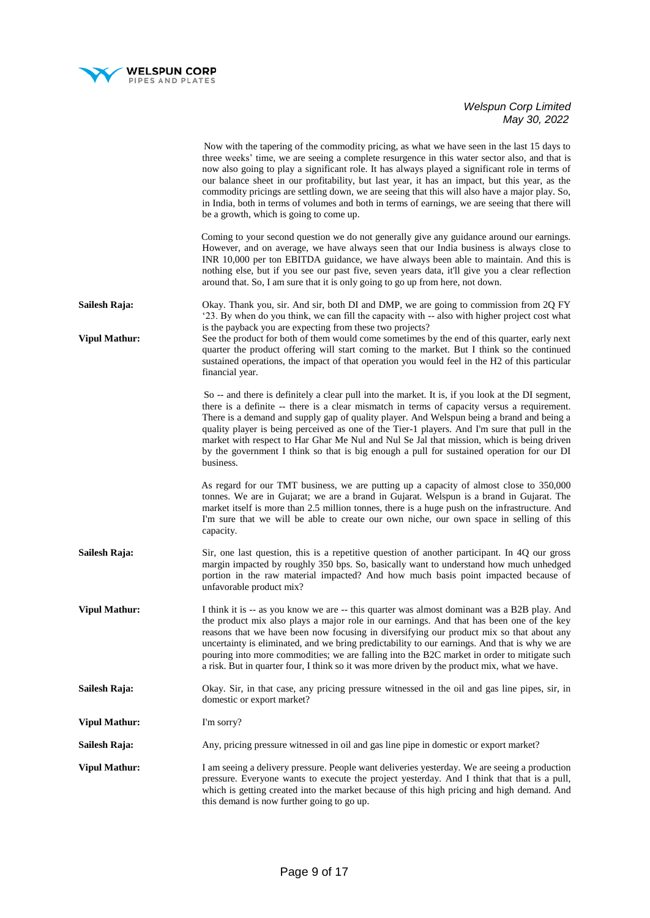

|                      | Now with the tapering of the commodity pricing, as what we have seen in the last 15 days to<br>three weeks' time, we are seeing a complete resurgence in this water sector also, and that is<br>now also going to play a significant role. It has always played a significant role in terms of<br>our balance sheet in our profitability, but last year, it has an impact, but this year, as the<br>commodity pricings are settling down, we are seeing that this will also have a major play. So,<br>in India, both in terms of volumes and both in terms of earnings, we are seeing that there will<br>be a growth, which is going to come up. |
|----------------------|--------------------------------------------------------------------------------------------------------------------------------------------------------------------------------------------------------------------------------------------------------------------------------------------------------------------------------------------------------------------------------------------------------------------------------------------------------------------------------------------------------------------------------------------------------------------------------------------------------------------------------------------------|
|                      | Coming to your second question we do not generally give any guidance around our earnings.<br>However, and on average, we have always seen that our India business is always close to<br>INR 10,000 per ton EBITDA guidance, we have always been able to maintain. And this is<br>nothing else, but if you see our past five, seven years data, it'll give you a clear reflection<br>around that. So, I am sure that it is only going to go up from here, not down.                                                                                                                                                                               |
| Sailesh Raja:        | Okay. Thank you, sir. And sir, both DI and DMP, we are going to commission from 2Q FY<br>'23. By when do you think, we can fill the capacity with -- also with higher project cost what                                                                                                                                                                                                                                                                                                                                                                                                                                                          |
| <b>Vipul Mathur:</b> | is the payback you are expecting from these two projects?<br>See the product for both of them would come sometimes by the end of this quarter, early next<br>quarter the product offering will start coming to the market. But I think so the continued<br>sustained operations, the impact of that operation you would feel in the H2 of this particular<br>financial year.                                                                                                                                                                                                                                                                     |
|                      | So -- and there is definitely a clear pull into the market. It is, if you look at the DI segment,<br>there is a definite -- there is a clear mismatch in terms of capacity versus a requirement.<br>There is a demand and supply gap of quality player. And Welspun being a brand and being a<br>quality player is being perceived as one of the Tier-1 players. And I'm sure that pull in the<br>market with respect to Har Ghar Me Nul and Nul Se Jal that mission, which is being driven<br>by the government I think so that is big enough a pull for sustained operation for our DI<br>business.                                            |
|                      | As regard for our TMT business, we are putting up a capacity of almost close to 350,000<br>tonnes. We are in Gujarat; we are a brand in Gujarat. Welspun is a brand in Gujarat. The<br>market itself is more than 2.5 million tonnes, there is a huge push on the infrastructure. And<br>I'm sure that we will be able to create our own niche, our own space in selling of this<br>capacity.                                                                                                                                                                                                                                                    |
| Sailesh Raja:        | Sir, one last question, this is a repetitive question of another participant. In 4Q our gross<br>margin impacted by roughly 350 bps. So, basically want to understand how much unhedged<br>portion in the raw material impacted? And how much basis point impacted because of<br>unfavorable product mix?                                                                                                                                                                                                                                                                                                                                        |
| <b>Vipul Mathur:</b> | I think it is -- as you know we are -- this quarter was almost dominant was a B2B play. And<br>the product mix also plays a major role in our earnings. And that has been one of the key<br>reasons that we have been now focusing in diversifying our product mix so that about any<br>uncertainty is eliminated, and we bring predictability to our earnings. And that is why we are<br>pouring into more commodities; we are falling into the B2C market in order to mitigate such<br>a risk. But in quarter four, I think so it was more driven by the product mix, what we have.                                                            |
| Sailesh Raja:        | Okay. Sir, in that case, any pricing pressure witnessed in the oil and gas line pipes, sir, in<br>domestic or export market?                                                                                                                                                                                                                                                                                                                                                                                                                                                                                                                     |
| <b>Vipul Mathur:</b> | I'm sorry?                                                                                                                                                                                                                                                                                                                                                                                                                                                                                                                                                                                                                                       |
| Sailesh Raja:        | Any, pricing pressure witnessed in oil and gas line pipe in domestic or export market?                                                                                                                                                                                                                                                                                                                                                                                                                                                                                                                                                           |
| <b>Vipul Mathur:</b> | I am seeing a delivery pressure. People want deliveries yesterday. We are seeing a production<br>pressure. Everyone wants to execute the project yesterday. And I think that that is a pull,<br>which is getting created into the market because of this high pricing and high demand. And<br>this demand is now further going to go up.                                                                                                                                                                                                                                                                                                         |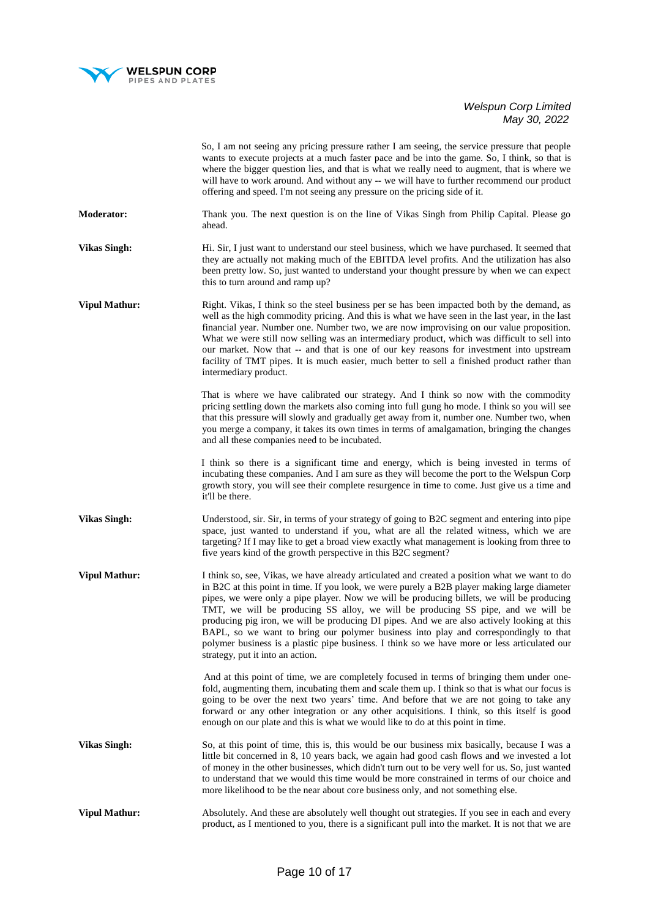

|                      | So, I am not seeing any pricing pressure rather I am seeing, the service pressure that people<br>wants to execute projects at a much faster pace and be into the game. So, I think, so that is<br>where the bigger question lies, and that is what we really need to augment, that is where we<br>will have to work around. And without any -- we will have to further recommend our product<br>offering and speed. I'm not seeing any pressure on the pricing side of it.                                                                                                                                                                                                                                |
|----------------------|-----------------------------------------------------------------------------------------------------------------------------------------------------------------------------------------------------------------------------------------------------------------------------------------------------------------------------------------------------------------------------------------------------------------------------------------------------------------------------------------------------------------------------------------------------------------------------------------------------------------------------------------------------------------------------------------------------------|
| <b>Moderator:</b>    | Thank you. The next question is on the line of Vikas Singh from Philip Capital. Please go<br>ahead.                                                                                                                                                                                                                                                                                                                                                                                                                                                                                                                                                                                                       |
| <b>Vikas Singh:</b>  | Hi. Sir, I just want to understand our steel business, which we have purchased. It seemed that<br>they are actually not making much of the EBITDA level profits. And the utilization has also<br>been pretty low. So, just wanted to understand your thought pressure by when we can expect<br>this to turn around and ramp up?                                                                                                                                                                                                                                                                                                                                                                           |
| <b>Vipul Mathur:</b> | Right. Vikas, I think so the steel business per se has been impacted both by the demand, as<br>well as the high commodity pricing. And this is what we have seen in the last year, in the last<br>financial year. Number one. Number two, we are now improvising on our value proposition.<br>What we were still now selling was an intermediary product, which was difficult to sell into<br>our market. Now that -- and that is one of our key reasons for investment into upstream<br>facility of TMT pipes. It is much easier, much better to sell a finished product rather than<br>intermediary product.                                                                                            |
|                      | That is where we have calibrated our strategy. And I think so now with the commodity<br>pricing settling down the markets also coming into full gung ho mode. I think so you will see<br>that this pressure will slowly and gradually get away from it, number one. Number two, when<br>you merge a company, it takes its own times in terms of amalgamation, bringing the changes<br>and all these companies need to be incubated.                                                                                                                                                                                                                                                                       |
|                      | I think so there is a significant time and energy, which is being invested in terms of<br>incubating these companies. And I am sure as they will become the port to the Welspun Corp<br>growth story, you will see their complete resurgence in time to come. Just give us a time and<br>it'll be there.                                                                                                                                                                                                                                                                                                                                                                                                  |
| <b>Vikas Singh:</b>  | Understood, sir. Sir, in terms of your strategy of going to B2C segment and entering into pipe<br>space, just wanted to understand if you, what are all the related witness, which we are<br>targeting? If I may like to get a broad view exactly what management is looking from three to<br>five years kind of the growth perspective in this B2C segment?                                                                                                                                                                                                                                                                                                                                              |
| <b>Vipul Mathur:</b> | I think so, see, Vikas, we have already articulated and created a position what we want to do<br>in B2C at this point in time. If you look, we were purely a B2B player making large diameter<br>pipes, we were only a pipe player. Now we will be producing billets, we will be producing<br>TMT, we will be producing SS alloy, we will be producing SS pipe, and we will be<br>producing pig iron, we will be producing DI pipes. And we are also actively looking at this<br>BAPL, so we want to bring our polymer business into play and correspondingly to that<br>polymer business is a plastic pipe business. I think so we have more or less articulated our<br>strategy, put it into an action. |
|                      | And at this point of time, we are completely focused in terms of bringing them under one-<br>fold, augmenting them, incubating them and scale them up. I think so that is what our focus is<br>going to be over the next two years' time. And before that we are not going to take any<br>forward or any other integration or any other acquisitions. I think, so this itself is good<br>enough on our plate and this is what we would like to do at this point in time.                                                                                                                                                                                                                                  |
| <b>Vikas Singh:</b>  | So, at this point of time, this is, this would be our business mix basically, because I was a<br>little bit concerned in 8, 10 years back, we again had good cash flows and we invested a lot<br>of money in the other businesses, which didn't turn out to be very well for us. So, just wanted<br>to understand that we would this time would be more constrained in terms of our choice and<br>more likelihood to be the near about core business only, and not something else.                                                                                                                                                                                                                        |
| <b>Vipul Mathur:</b> | Absolutely. And these are absolutely well thought out strategies. If you see in each and every<br>product, as I mentioned to you, there is a significant pull into the market. It is not that we are                                                                                                                                                                                                                                                                                                                                                                                                                                                                                                      |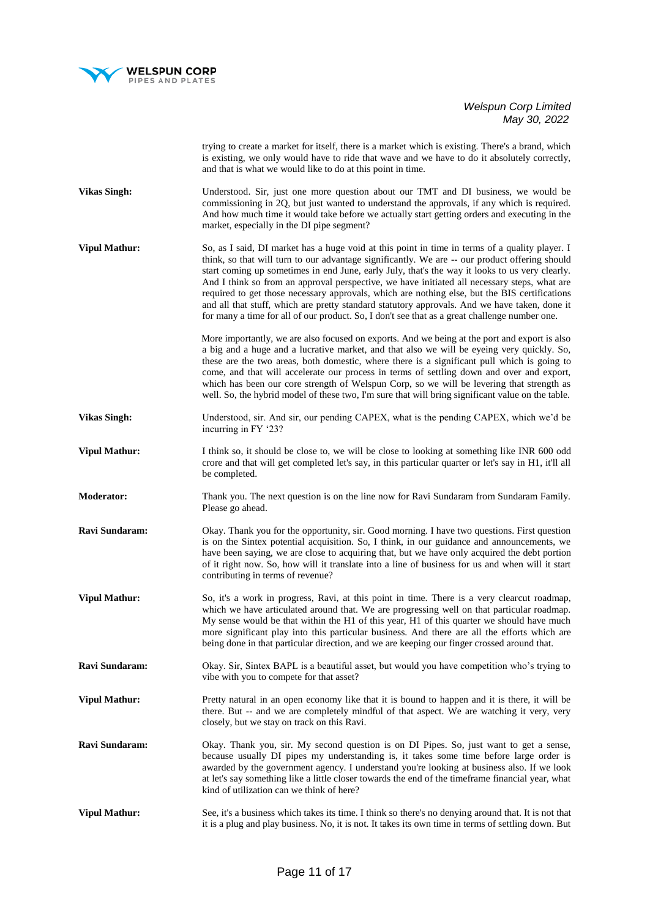

trying to create a market for itself, there is a market which is existing. There's a brand, which is existing, we only would have to ride that wave and we have to do it absolutely correctly, and that is what we would like to do at this point in time.

- **Vikas Singh:** Understood. Sir, just one more question about our TMT and DI business, we would be commissioning in 2Q, but just wanted to understand the approvals, if any which is required. And how much time it would take before we actually start getting orders and executing in the market, especially in the DI pipe segment?
- **Vipul Mathur:** So, as I said, DI market has a huge void at this point in time in terms of a quality player. I think, so that will turn to our advantage significantly. We are -- our product offering should start coming up sometimes in end June, early July, that's the way it looks to us very clearly. And I think so from an approval perspective, we have initiated all necessary steps, what are required to get those necessary approvals, which are nothing else, but the BIS certifications and all that stuff, which are pretty standard statutory approvals. And we have taken, done it for many a time for all of our product. So, I don't see that as a great challenge number one.

 More importantly, we are also focused on exports. And we being at the port and export is also a big and a huge and a lucrative market, and that also we will be eyeing very quickly. So, these are the two areas, both domestic, where there is a significant pull which is going to come, and that will accelerate our process in terms of settling down and over and export, which has been our core strength of Welspun Corp, so we will be levering that strength as well. So, the hybrid model of these two, I'm sure that will bring significant value on the table.

- **Vikas Singh:** Understood, sir. And sir, our pending CAPEX, what is the pending CAPEX, which we'd be incurring in FY '23?
- **Vipul Mathur:** I think so, it should be close to, we will be close to looking at something like INR 600 odd crore and that will get completed let's say, in this particular quarter or let's say in H1, it'll all be completed.
- **Moderator:** Thank you. The next question is on the line now for Ravi Sundaram from Sundaram Family. Please go ahead.
- **Ravi Sundaram:** Okay. Thank you for the opportunity, sir. Good morning. I have two questions. First question is on the Sintex potential acquisition. So, I think, in our guidance and announcements, we have been saying, we are close to acquiring that, but we have only acquired the debt portion of it right now. So, how will it translate into a line of business for us and when will it start contributing in terms of revenue?
- **Vipul Mathur:** So, it's a work in progress, Ravi, at this point in time. There is a very clearcut roadmap, which we have articulated around that. We are progressing well on that particular roadmap. My sense would be that within the H1 of this year, H1 of this quarter we should have much more significant play into this particular business. And there are all the efforts which are being done in that particular direction, and we are keeping our finger crossed around that.
- **Ravi Sundaram:** Okay. Sir, Sintex BAPL is a beautiful asset, but would you have competition who's trying to vibe with you to compete for that asset?
- **Vipul Mathur:** Pretty natural in an open economy like that it is bound to happen and it is there, it will be there. But -- and we are completely mindful of that aspect. We are watching it very, very closely, but we stay on track on this Ravi.
- **Ravi Sundaram:** Okay. Thank you, sir. My second question is on DI Pipes. So, just want to get a sense, because usually DI pipes my understanding is, it takes some time before large order is awarded by the government agency. I understand you're looking at business also. If we look at let's say something like a little closer towards the end of the timeframe financial year, what kind of utilization can we think of here?
- **Vipul Mathur:** See, it's a business which takes its time. I think so there's no denying around that. It is not that it is a plug and play business. No, it is not. It takes its own time in terms of settling down. But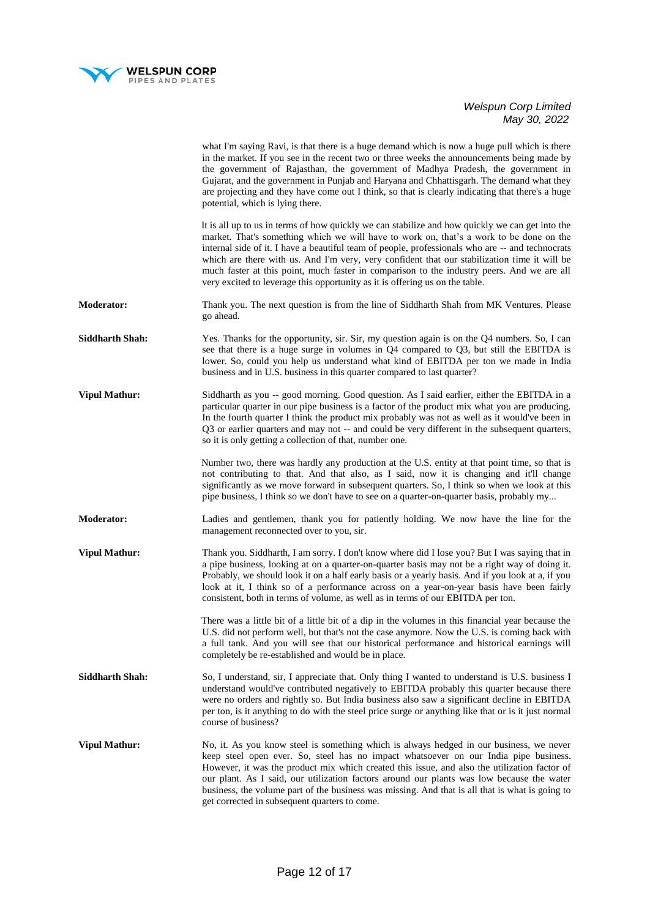

|                        | what I'm saying Ravi, is that there is a huge demand which is now a huge pull which is there<br>in the market. If you see in the recent two or three weeks the announcements being made by<br>the government of Rajasthan, the government of Madhya Pradesh, the government in<br>Gujarat, and the government in Punjab and Haryana and Chhattisgarh. The demand what they<br>are projecting and they have come out I think, so that is clearly indicating that there's a huge<br>potential, which is lying there.                                                           |
|------------------------|------------------------------------------------------------------------------------------------------------------------------------------------------------------------------------------------------------------------------------------------------------------------------------------------------------------------------------------------------------------------------------------------------------------------------------------------------------------------------------------------------------------------------------------------------------------------------|
|                        | It is all up to us in terms of how quickly we can stabilize and how quickly we can get into the<br>market. That's something which we will have to work on, that's a work to be done on the<br>internal side of it. I have a beautiful team of people, professionals who are -- and technocrats<br>which are there with us. And I'm very, very confident that our stabilization time it will be<br>much faster at this point, much faster in comparison to the industry peers. And we are all<br>very excited to leverage this opportunity as it is offering us on the table. |
| <b>Moderator:</b>      | Thank you. The next question is from the line of Siddharth Shah from MK Ventures. Please<br>go ahead.                                                                                                                                                                                                                                                                                                                                                                                                                                                                        |
| <b>Siddharth Shah:</b> | Yes. Thanks for the opportunity, sir. Sir, my question again is on the Q4 numbers. So, I can<br>see that there is a huge surge in volumes in $Q4$ compared to $Q3$ , but still the EBITDA is<br>lower. So, could you help us understand what kind of EBITDA per ton we made in India<br>business and in U.S. business in this quarter compared to last quarter?                                                                                                                                                                                                              |
| <b>Vipul Mathur:</b>   | Siddharth as you -- good morning. Good question. As I said earlier, either the EBITDA in a<br>particular quarter in our pipe business is a factor of the product mix what you are producing.<br>In the fourth quarter I think the product mix probably was not as well as it would've been in<br>Q3 or earlier quarters and may not -- and could be very different in the subsequent quarters,<br>so it is only getting a collection of that, number one.                                                                                                                    |
|                        | Number two, there was hardly any production at the U.S. entity at that point time, so that is<br>not contributing to that. And that also, as I said, now it is changing and it'll change<br>significantly as we move forward in subsequent quarters. So, I think so when we look at this<br>pipe business, I think so we don't have to see on a quarter-on-quarter basis, probably my                                                                                                                                                                                        |
| <b>Moderator:</b>      | Ladies and gentlemen, thank you for patiently holding. We now have the line for the<br>management reconnected over to you, sir.                                                                                                                                                                                                                                                                                                                                                                                                                                              |
| <b>Vipul Mathur:</b>   | Thank you. Siddharth, I am sorry. I don't know where did I lose you? But I was saying that in<br>a pipe business, looking at on a quarter-on-quarter basis may not be a right way of doing it.<br>Probably, we should look it on a half early basis or a yearly basis. And if you look at a, if you<br>look at it, I think so of a performance across on a year-on-year basis have been fairly<br>consistent, both in terms of volume, as well as in terms of our EBITDA per ton.                                                                                            |
|                        | There was a little bit of a little bit of a dip in the volumes in this financial year because the<br>U.S. did not perform well, but that's not the case anymore. Now the U.S. is coming back with<br>a full tank. And you will see that our historical performance and historical earnings will<br>completely be re-established and would be in place.                                                                                                                                                                                                                       |
| <b>Siddharth Shah:</b> | So, I understand, sir, I appreciate that. Only thing I wanted to understand is U.S. business I<br>understand would've contributed negatively to EBITDA probably this quarter because there<br>were no orders and rightly so. But India business also saw a significant decline in EBITDA<br>per ton, is it anything to do with the steel price surge or anything like that or is it just normal<br>course of business?                                                                                                                                                       |
| <b>Vipul Mathur:</b>   | No, it. As you know steel is something which is always hedged in our business, we never<br>keep steel open ever. So, steel has no impact whatsoever on our India pipe business.<br>However, it was the product mix which created this issue, and also the utilization factor of<br>our plant. As I said, our utilization factors around our plants was low because the water<br>business, the volume part of the business was missing. And that is all that is what is going to<br>get corrected in subsequent quarters to come.                                             |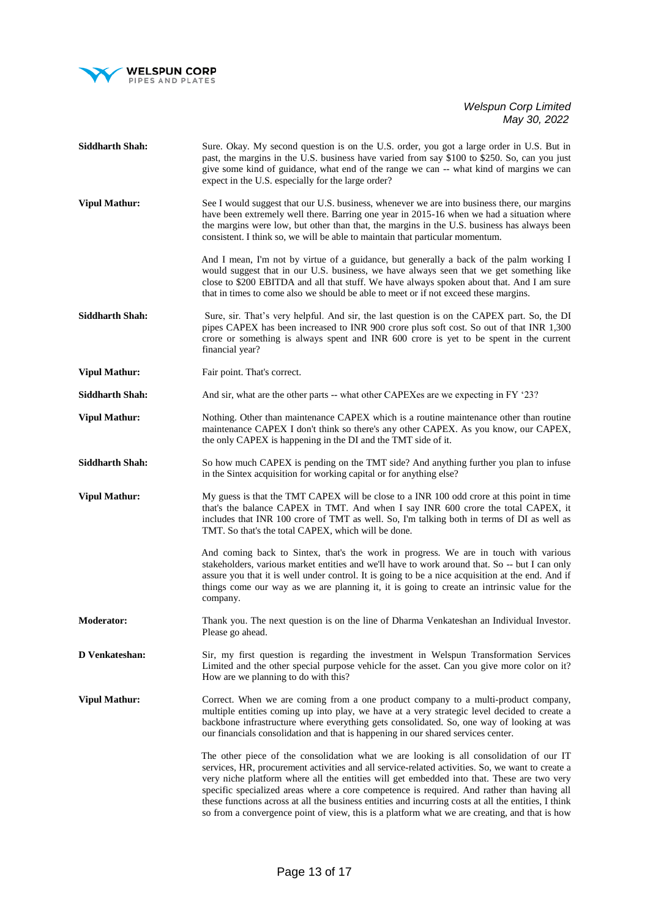

| <b>Siddharth Shah:</b> | Sure. Okay. My second question is on the U.S. order, you got a large order in U.S. But in<br>past, the margins in the U.S. business have varied from say \$100 to \$250. So, can you just<br>give some kind of guidance, what end of the range we can -- what kind of margins we can<br>expect in the U.S. especially for the large order?                                                                                                                                                                                                                                                       |
|------------------------|--------------------------------------------------------------------------------------------------------------------------------------------------------------------------------------------------------------------------------------------------------------------------------------------------------------------------------------------------------------------------------------------------------------------------------------------------------------------------------------------------------------------------------------------------------------------------------------------------|
| <b>Vipul Mathur:</b>   | See I would suggest that our U.S. business, whenever we are into business there, our margins<br>have been extremely well there. Barring one year in 2015-16 when we had a situation where<br>the margins were low, but other than that, the margins in the U.S. business has always been<br>consistent. I think so, we will be able to maintain that particular momentum.                                                                                                                                                                                                                        |
|                        | And I mean, I'm not by virtue of a guidance, but generally a back of the palm working I<br>would suggest that in our U.S. business, we have always seen that we get something like<br>close to \$200 EBITDA and all that stuff. We have always spoken about that. And I am sure<br>that in times to come also we should be able to meet or if not exceed these margins.                                                                                                                                                                                                                          |
| <b>Siddharth Shah:</b> | Sure, sir. That's very helpful. And sir, the last question is on the CAPEX part. So, the DI<br>pipes CAPEX has been increased to INR 900 crore plus soft cost. So out of that INR 1,300<br>crore or something is always spent and INR 600 crore is yet to be spent in the current<br>financial year?                                                                                                                                                                                                                                                                                             |
| <b>Vipul Mathur:</b>   | Fair point. That's correct.                                                                                                                                                                                                                                                                                                                                                                                                                                                                                                                                                                      |
| <b>Siddharth Shah:</b> | And sir, what are the other parts -- what other CAPEXes are we expecting in FY '23?                                                                                                                                                                                                                                                                                                                                                                                                                                                                                                              |
| <b>Vipul Mathur:</b>   | Nothing. Other than maintenance CAPEX which is a routine maintenance other than routine<br>maintenance CAPEX I don't think so there's any other CAPEX. As you know, our CAPEX,<br>the only CAPEX is happening in the DI and the TMT side of it.                                                                                                                                                                                                                                                                                                                                                  |
| <b>Siddharth Shah:</b> | So how much CAPEX is pending on the TMT side? And anything further you plan to infuse<br>in the Sintex acquisition for working capital or for anything else?                                                                                                                                                                                                                                                                                                                                                                                                                                     |
| <b>Vipul Mathur:</b>   | My guess is that the TMT CAPEX will be close to a INR 100 odd crore at this point in time<br>that's the balance CAPEX in TMT. And when I say INR 600 crore the total CAPEX, it<br>includes that INR 100 crore of TMT as well. So, I'm talking both in terms of DI as well as<br>TMT. So that's the total CAPEX, which will be done.                                                                                                                                                                                                                                                              |
|                        | And coming back to Sintex, that's the work in progress. We are in touch with various<br>stakeholders, various market entities and we'll have to work around that. So -- but I can only<br>assure you that it is well under control. It is going to be a nice acquisition at the end. And if<br>things come our way as we are planning it, it is going to create an intrinsic value for the<br>company.                                                                                                                                                                                           |
| <b>Moderator:</b>      | Thank you. The next question is on the line of Dharma Venkateshan an Individual Investor.<br>Please go ahead.                                                                                                                                                                                                                                                                                                                                                                                                                                                                                    |
| D Venkateshan:         | Sir, my first question is regarding the investment in Welspun Transformation Services<br>Limited and the other special purpose vehicle for the asset. Can you give more color on it?<br>How are we planning to do with this?                                                                                                                                                                                                                                                                                                                                                                     |
| <b>Vipul Mathur:</b>   | Correct. When we are coming from a one product company to a multi-product company,<br>multiple entities coming up into play, we have at a very strategic level decided to create a<br>backbone infrastructure where everything gets consolidated. So, one way of looking at was<br>our financials consolidation and that is happening in our shared services center.                                                                                                                                                                                                                             |
|                        | The other piece of the consolidation what we are looking is all consolidation of our IT<br>services, HR, procurement activities and all service-related activities. So, we want to create a<br>very niche platform where all the entities will get embedded into that. These are two very<br>specific specialized areas where a core competence is required. And rather than having all<br>these functions across at all the business entities and incurring costs at all the entities, I think<br>so from a convergence point of view, this is a platform what we are creating, and that is how |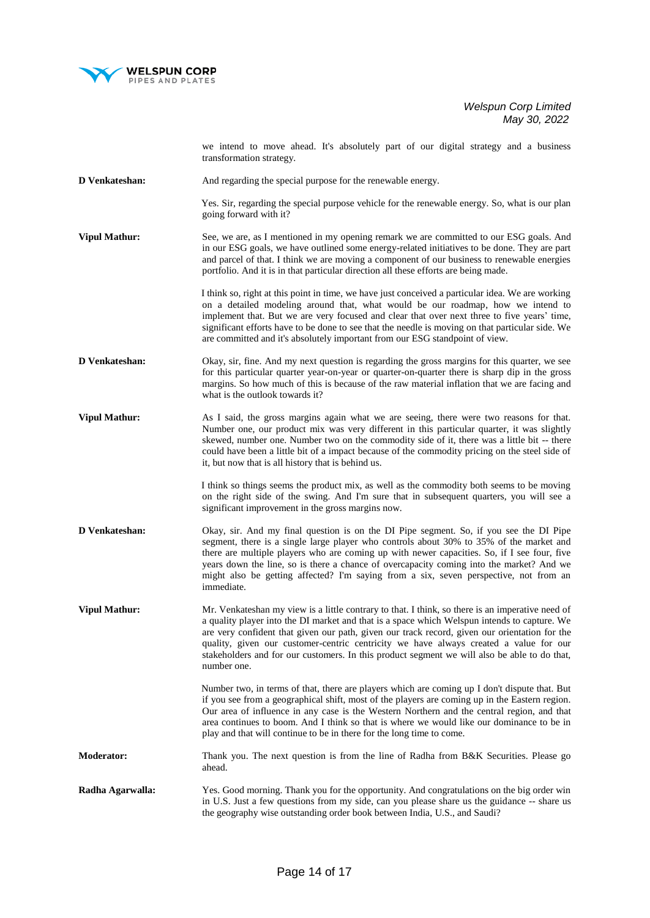

we intend to move ahead. It's absolutely part of our digital strategy and a business transformation strategy.

**D Venkateshan:** And regarding the special purpose for the renewable energy.

Yes. Sir, regarding the special purpose vehicle for the renewable energy. So, what is our plan going forward with it?

**Vipul Mathur:** See, we are, as I mentioned in my opening remark we are committed to our ESG goals. And in our ESG goals, we have outlined some energy-related initiatives to be done. They are part and parcel of that. I think we are moving a component of our business to renewable energies portfolio. And it is in that particular direction all these efforts are being made.

> I think so, right at this point in time, we have just conceived a particular idea. We are working on a detailed modeling around that, what would be our roadmap, how we intend to implement that. But we are very focused and clear that over next three to five years' time, significant efforts have to be done to see that the needle is moving on that particular side. We are committed and it's absolutely important from our ESG standpoint of view.

- **D Venkateshan:** Okay, sir, fine. And my next question is regarding the gross margins for this quarter, we see for this particular quarter year-on-year or quarter-on-quarter there is sharp dip in the gross margins. So how much of this is because of the raw material inflation that we are facing and what is the outlook towards it?
- **Vipul Mathur:** As I said, the gross margins again what we are seeing, there were two reasons for that. Number one, our product mix was very different in this particular quarter, it was slightly skewed, number one. Number two on the commodity side of it, there was a little bit -- there could have been a little bit of a impact because of the commodity pricing on the steel side of it, but now that is all history that is behind us.

 I think so things seems the product mix, as well as the commodity both seems to be moving on the right side of the swing. And I'm sure that in subsequent quarters, you will see a significant improvement in the gross margins now.

**D Venkateshan:** Okay, sir. And my final question is on the DI Pipe segment. So, if you see the DI Pipe segment, there is a single large player who controls about 30% to 35% of the market and there are multiple players who are coming up with newer capacities. So, if I see four, five years down the line, so is there a chance of overcapacity coming into the market? And we might also be getting affected? I'm saying from a six, seven perspective, not from an immediate.

**Vipul Mathur:** Mr. Venkateshan my view is a little contrary to that. I think, so there is an imperative need of a quality player into the DI market and that is a space which Welspun intends to capture. We are very confident that given our path, given our track record, given our orientation for the quality, given our customer-centric centricity we have always created a value for our stakeholders and for our customers. In this product segment we will also be able to do that, number one.

> Number two, in terms of that, there are players which are coming up I don't dispute that. But if you see from a geographical shift, most of the players are coming up in the Eastern region. Our area of influence in any case is the Western Northern and the central region, and that area continues to boom. And I think so that is where we would like our dominance to be in play and that will continue to be in there for the long time to come.

**Moderator:** Thank you. The next question is from the line of Radha from B&K Securities. Please go ahead.

**Radha Agarwalla:** Yes. Good morning. Thank you for the opportunity. And congratulations on the big order win in U.S. Just a few questions from my side, can you please share us the guidance -- share us the geography wise outstanding order book between India, U.S., and Saudi?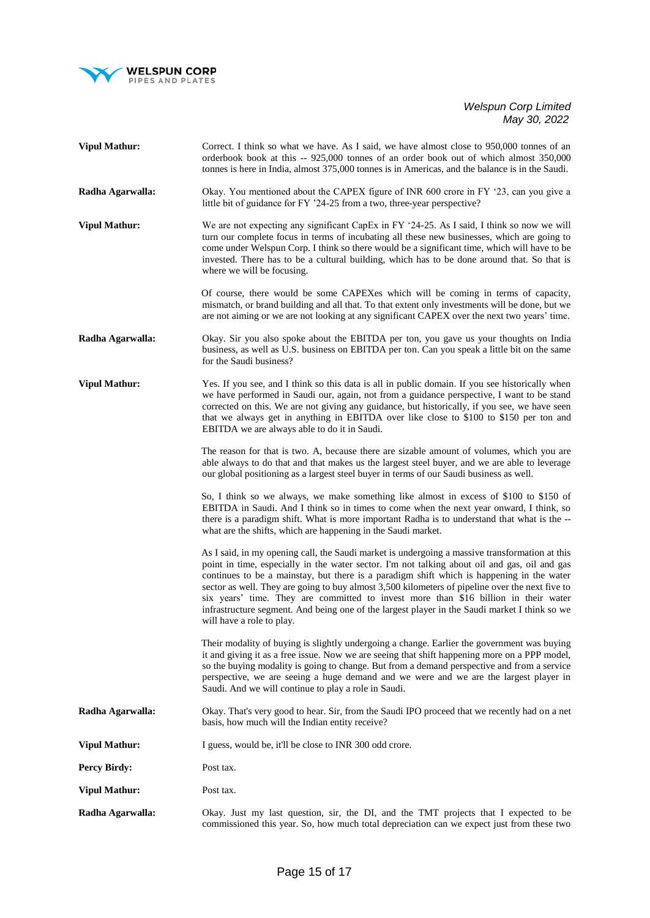

| <b>Vipul Mathur:</b> | Correct. I think so what we have. As I said, we have almost close to 950,000 tonnes of an<br>orderbook book at this -- 925,000 tonnes of an order book out of which almost 350,000<br>tonnes is here in India, almost 375,000 tonnes is in Americas, and the balance is in the Saudi.                                                                                                                                                                                                                                                                                                                                |
|----------------------|----------------------------------------------------------------------------------------------------------------------------------------------------------------------------------------------------------------------------------------------------------------------------------------------------------------------------------------------------------------------------------------------------------------------------------------------------------------------------------------------------------------------------------------------------------------------------------------------------------------------|
| Radha Agarwalla:     | Okay. You mentioned about the CAPEX figure of INR 600 crore in FY '23, can you give a<br>little bit of guidance for FY '24-25 from a two, three-year perspective?                                                                                                                                                                                                                                                                                                                                                                                                                                                    |
| <b>Vipul Mathur:</b> | We are not expecting any significant CapEx in FY '24-25. As I said, I think so now we will<br>turn our complete focus in terms of incubating all these new businesses, which are going to<br>come under Welspun Corp. I think so there would be a significant time, which will have to be<br>invested. There has to be a cultural building, which has to be done around that. So that is<br>where we will be focusing.                                                                                                                                                                                               |
|                      | Of course, there would be some CAPEXes which will be coming in terms of capacity,<br>mismatch, or brand building and all that. To that extent only investments will be done, but we<br>are not aiming or we are not looking at any significant CAPEX over the next two years' time.                                                                                                                                                                                                                                                                                                                                  |
| Radha Agarwalla:     | Okay. Sir you also spoke about the EBITDA per ton, you gave us your thoughts on India<br>business, as well as U.S. business on EBITDA per ton. Can you speak a little bit on the same<br>for the Saudi business?                                                                                                                                                                                                                                                                                                                                                                                                     |
| <b>Vipul Mathur:</b> | Yes. If you see, and I think so this data is all in public domain. If you see historically when<br>we have performed in Saudi our, again, not from a guidance perspective, I want to be stand<br>corrected on this. We are not giving any guidance, but historically, if you see, we have seen<br>that we always get in anything in EBITDA over like close to \$100 to \$150 per ton and<br>EBITDA we are always able to do it in Saudi.                                                                                                                                                                             |
|                      | The reason for that is two. A, because there are sizable amount of volumes, which you are<br>able always to do that and that makes us the largest steel buyer, and we are able to leverage<br>our global positioning as a largest steel buyer in terms of our Saudi business as well.                                                                                                                                                                                                                                                                                                                                |
|                      | So, I think so we always, we make something like almost in excess of \$100 to \$150 of<br>EBITDA in Saudi. And I think so in times to come when the next year onward, I think, so<br>there is a paradigm shift. What is more important Radha is to understand that what is the --<br>what are the shifts, which are happening in the Saudi market.                                                                                                                                                                                                                                                                   |
|                      | As I said, in my opening call, the Saudi market is undergoing a massive transformation at this<br>point in time, especially in the water sector. I'm not talking about oil and gas, oil and gas<br>continues to be a mainstay, but there is a paradigm shift which is happening in the water<br>sector as well. They are going to buy almost 3,500 kilometers of pipeline over the next five to<br>six years' time. They are committed to invest more than \$16 billion in their water<br>infrastructure segment. And being one of the largest player in the Saudi market I think so we<br>will have a role to play. |
|                      | Their modality of buying is slightly undergoing a change. Earlier the government was buying<br>it and giving it as a free issue. Now we are seeing that shift happening more on a PPP model,<br>so the buying modality is going to change. But from a demand perspective and from a service<br>perspective, we are seeing a huge demand and we were and we are the largest player in<br>Saudi. And we will continue to play a role in Saudi.                                                                                                                                                                         |
| Radha Agarwalla:     | Okay. That's very good to hear. Sir, from the Saudi IPO proceed that we recently had on a net<br>basis, how much will the Indian entity receive?                                                                                                                                                                                                                                                                                                                                                                                                                                                                     |
| <b>Vipul Mathur:</b> | I guess, would be, it'll be close to INR 300 odd crore.                                                                                                                                                                                                                                                                                                                                                                                                                                                                                                                                                              |
| <b>Percy Birdy:</b>  | Post tax.                                                                                                                                                                                                                                                                                                                                                                                                                                                                                                                                                                                                            |
| <b>Vipul Mathur:</b> | Post tax.                                                                                                                                                                                                                                                                                                                                                                                                                                                                                                                                                                                                            |
| Radha Agarwalla:     | Okay. Just my last question, sir, the DI, and the TMT projects that I expected to be<br>commissioned this year. So, how much total depreciation can we expect just from these two                                                                                                                                                                                                                                                                                                                                                                                                                                    |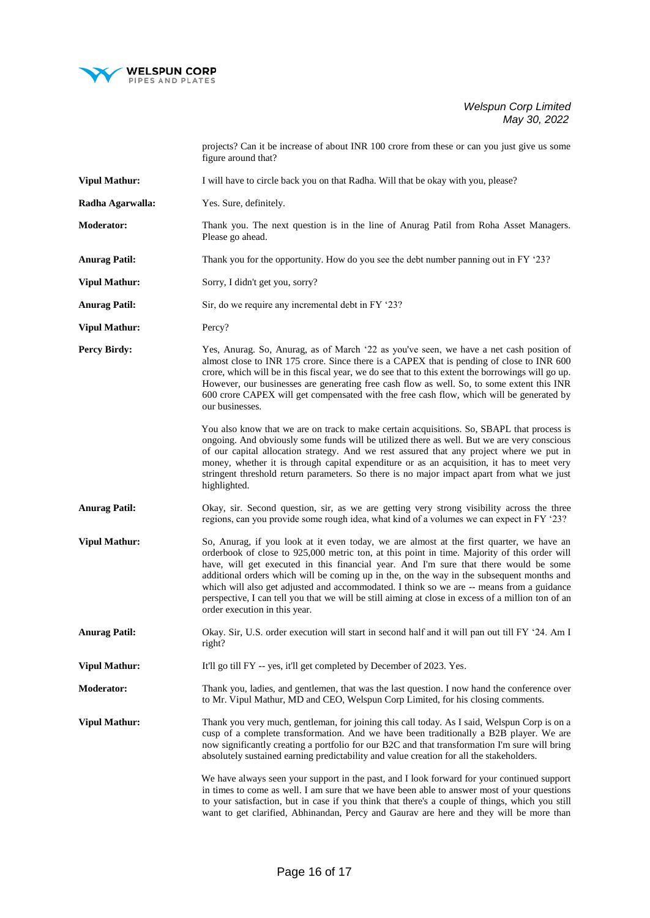

projects? Can it be increase of about INR 100 crore from these or can you just give us some figure around that?

- **Vipul Mathur:** I will have to circle back you on that Radha. Will that be okay with you, please?
- **Radha Agarwalla:** Yes. Sure, definitely.
- **Moderator:** Thank you. The next question is in the line of Anurag Patil from Roha Asset Managers. Please go ahead.
- **Anurag Patil:** Thank you for the opportunity. How do you see the debt number panning out in FY '23?
- **Vipul Mathur:** Sorry, I didn't get you, sorry?
- Anurag Patil: Sir, do we require any incremental debt in FY '23?
- **Vipul Mathur:** Percy?
- **Percy Birdy:** Yes, Anurag. So, Anurag, as of March '22 as you've seen, we have a net cash position of almost close to INR 175 crore. Since there is a CAPEX that is pending of close to INR 600 crore, which will be in this fiscal year, we do see that to this extent the borrowings will go up. However, our businesses are generating free cash flow as well. So, to some extent this INR 600 crore CAPEX will get compensated with the free cash flow, which will be generated by our businesses.
	- You also know that we are on track to make certain acquisitions. So, SBAPL that process is ongoing. And obviously some funds will be utilized there as well. But we are very conscious of our capital allocation strategy. And we rest assured that any project where we put in money, whether it is through capital expenditure or as an acquisition, it has to meet very stringent threshold return parameters. So there is no major impact apart from what we just highlighted.
- **Anurag Patil:** Okay, sir. Second question, sir, as we are getting very strong visibility across the three regions, can you provide some rough idea, what kind of a volumes we can expect in FY '23?
- **Vipul Mathur:** So, Anurag, if you look at it even today, we are almost at the first quarter, we have an orderbook of close to 925,000 metric ton, at this point in time. Majority of this order will have, will get executed in this financial year. And I'm sure that there would be some additional orders which will be coming up in the, on the way in the subsequent months and which will also get adjusted and accommodated. I think so we are -- means from a guidance perspective, I can tell you that we will be still aiming at close in excess of a million ton of an order execution in this year.
- **Anurag Patil:** Okay. Sir, U.S. order execution will start in second half and it will pan out till FY '24. Am I right?
- **Vipul Mathur:** It'll go till FY -- yes, it'll get completed by December of 2023. Yes.
- **Moderator:** Thank you, ladies, and gentlemen, that was the last question. I now hand the conference over to Mr. Vipul Mathur, MD and CEO, Welspun Corp Limited, for his closing comments.
- **Vipul Mathur:** Thank you very much, gentleman, for joining this call today. As I said, Welspun Corp is on a cusp of a complete transformation. And we have been traditionally a B2B player. We are now significantly creating a portfolio for our B2C and that transformation I'm sure will bring absolutely sustained earning predictability and value creation for all the stakeholders.
	- We have always seen your support in the past, and I look forward for your continued support in times to come as well. I am sure that we have been able to answer most of your questions to your satisfaction, but in case if you think that there's a couple of things, which you still want to get clarified, Abhinandan, Percy and Gaurav are here and they will be more than